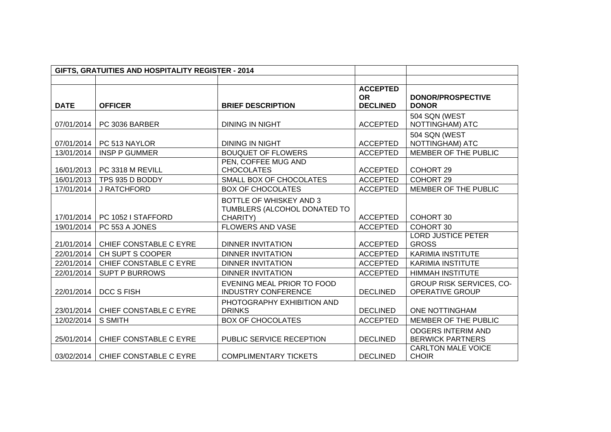| GIFTS, GRATUITIES AND HOSPITALITY REGISTER - 2014 |                        |                              |                              |                                           |
|---------------------------------------------------|------------------------|------------------------------|------------------------------|-------------------------------------------|
|                                                   |                        |                              |                              |                                           |
|                                                   |                        |                              | <b>ACCEPTED</b>              |                                           |
| <b>DATE</b>                                       | <b>OFFICER</b>         | <b>BRIEF DESCRIPTION</b>     | <b>OR</b><br><b>DECLINED</b> | <b>DONOR/PROSPECTIVE</b><br><b>DONOR</b>  |
|                                                   |                        |                              |                              | 504 SQN (WEST                             |
| 07/01/2014                                        | PC 3036 BARBER         | <b>DINING IN NIGHT</b>       | <b>ACCEPTED</b>              | NOTTINGHAM) ATC                           |
|                                                   |                        |                              |                              | 504 SQN (WEST                             |
| 07/01/2014                                        | PC 513 NAYLOR          | <b>DINING IN NIGHT</b>       | <b>ACCEPTED</b>              | NOTTINGHAM) ATC                           |
| 13/01/2014                                        | <b>INSP P GUMMER</b>   | <b>BOUQUET OF FLOWERS</b>    | <b>ACCEPTED</b>              | MEMBER OF THE PUBLIC                      |
|                                                   |                        | PEN, COFFEE MUG AND          |                              |                                           |
| 16/01/2013                                        | PC 3318 M REVILL       | <b>CHOCOLATES</b>            | <b>ACCEPTED</b>              | COHORT 29                                 |
| 16/01/2013                                        | TPS 935 D BODDY        | SMALL BOX OF CHOCOLATES      | <b>ACCEPTED</b>              | COHORT 29                                 |
| 17/01/2014                                        | J RATCHFORD            | <b>BOX OF CHOCOLATES</b>     | <b>ACCEPTED</b>              | MEMBER OF THE PUBLIC                      |
|                                                   |                        | BOTTLE OF WHISKEY AND 3      |                              |                                           |
|                                                   |                        | TUMBLERS (ALCOHOL DONATED TO |                              |                                           |
| 17/01/2014                                        | PC 1052 I STAFFORD     | CHARITY)                     | <b>ACCEPTED</b>              | COHORT 30                                 |
| 19/01/2014                                        | PC 553 A JONES         | FLOWERS AND VASE             | <b>ACCEPTED</b>              | COHORT 30                                 |
| 21/01/2014                                        | CHIEF CONSTABLE C EYRE | <b>DINNER INVITATION</b>     | <b>ACCEPTED</b>              | <b>LORD JUSTICE PETER</b><br><b>GROSS</b> |
| 22/01/2014                                        | CH SUPT S COOPER       | <b>DINNER INVITATION</b>     | <b>ACCEPTED</b>              | <b>KARIMIA INSTITUTE</b>                  |
| 22/01/2014                                        | CHIEF CONSTABLE C EYRE | <b>DINNER INVITATION</b>     | <b>ACCEPTED</b>              | <b>KARIMIA INSTITUTE</b>                  |
| 22/01/2014                                        | <b>SUPT P BURROWS</b>  | <b>DINNER INVITATION</b>     | <b>ACCEPTED</b>              | <b>HIMMAH INSTITUTE</b>                   |
|                                                   |                        | EVENING MEAL PRIOR TO FOOD   |                              | <b>GROUP RISK SERVICES, CO-</b>           |
| 22/01/2014                                        | <b>DCC S FISH</b>      | <b>INDUSTRY CONFERENCE</b>   | <b>DECLINED</b>              | <b>OPERATIVE GROUP</b>                    |
|                                                   |                        | PHOTOGRAPHY EXHIBITION AND   |                              |                                           |
| 23/01/2014                                        | CHIEF CONSTABLE C EYRE | <b>DRINKS</b>                | <b>DECLINED</b>              | <b>ONE NOTTINGHAM</b>                     |
| 12/02/2014                                        | S SMITH                | <b>BOX OF CHOCOLATES</b>     | <b>ACCEPTED</b>              | MEMBER OF THE PUBLIC                      |
|                                                   |                        |                              |                              | <b>ODGERS INTERIM AND</b>                 |
| 25/01/2014                                        | CHIEF CONSTABLE C EYRE | PUBLIC SERVICE RECEPTION     | <b>DECLINED</b>              | <b>BERWICK PARTNERS</b>                   |
| 03/02/2014                                        | CHIEF CONSTABLE C EYRE | <b>COMPLIMENTARY TICKETS</b> | <b>DECLINED</b>              | <b>CARLTON MALE VOICE</b><br><b>CHOIR</b> |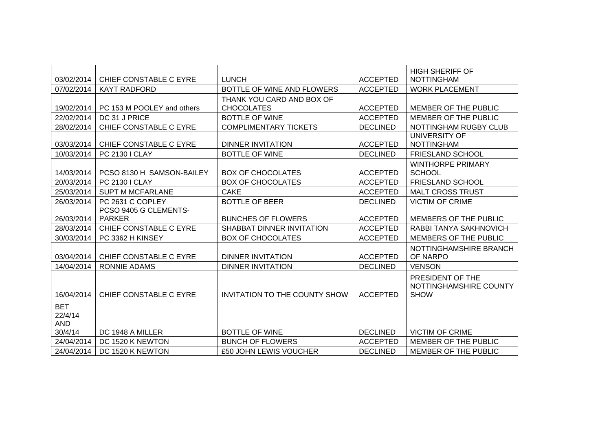|            |                            |                                      |                 | <b>HIGH SHERIFF OF</b>   |
|------------|----------------------------|--------------------------------------|-----------------|--------------------------|
| 03/02/2014 | CHIEF CONSTABLE C EYRE     | <b>LUNCH</b>                         | <b>ACCEPTED</b> | <b>NOTTINGHAM</b>        |
| 07/02/2014 | <b>KAYT RADFORD</b>        | BOTTLE OF WINE AND FLOWERS           | <b>ACCEPTED</b> | <b>WORK PLACEMENT</b>    |
|            |                            | THANK YOU CARD AND BOX OF            |                 |                          |
| 19/02/2014 | PC 153 M POOLEY and others | <b>CHOCOLATES</b>                    | <b>ACCEPTED</b> | MEMBER OF THE PUBLIC     |
| 22/02/2014 | DC 31 J PRICE              | <b>BOTTLE OF WINE</b>                | <b>ACCEPTED</b> | MEMBER OF THE PUBLIC     |
| 28/02/2014 | CHIEF CONSTABLE C EYRE     | <b>COMPLIMENTARY TICKETS</b>         | <b>DECLINED</b> | NOTTINGHAM RUGBY CLUB    |
|            |                            |                                      |                 | UNIVERSITY OF            |
| 03/03/2014 | CHIEF CONSTABLE C EYRE     | DINNER INVITATION                    | <b>ACCEPTED</b> | <b>NOTTINGHAM</b>        |
| 10/03/2014 | <b>PC 2130 I CLAY</b>      | <b>BOTTLE OF WINE</b>                | <b>DECLINED</b> | <b>FRIESLAND SCHOOL</b>  |
|            |                            |                                      |                 | <b>WINTHORPE PRIMARY</b> |
| 14/03/2014 | PCSO 8130 H SAMSON-BAILEY  | <b>BOX OF CHOCOLATES</b>             | <b>ACCEPTED</b> | <b>SCHOOL</b>            |
| 20/03/2014 | <b>PC 2130 I CLAY</b>      | <b>BOX OF CHOCOLATES</b>             | <b>ACCEPTED</b> | <b>FRIESLAND SCHOOL</b>  |
| 25/03/2014 | <b>SUPT M MCFARLANE</b>    | <b>CAKE</b>                          | <b>ACCEPTED</b> | <b>MALT CROSS TRUST</b>  |
| 26/03/2014 | PC 2631 C COPLEY           | <b>BOTTLE OF BEER</b>                | <b>DECLINED</b> | <b>VICTIM OF CRIME</b>   |
|            | PCSO 9405 G CLEMENTS-      |                                      |                 |                          |
| 26/03/2014 | <b>PARKER</b>              | <b>BUNCHES OF FLOWERS</b>            | <b>ACCEPTED</b> | MEMBERS OF THE PUBLIC    |
| 28/03/2014 | CHIEF CONSTABLE C EYRE     | SHABBAT DINNER INVITATION            | <b>ACCEPTED</b> | RABBI TANYA SAKHNOVICH   |
| 30/03/2014 | PC 3362 H KINSEY           | <b>BOX OF CHOCOLATES</b>             | <b>ACCEPTED</b> | MEMBERS OF THE PUBLIC    |
|            |                            |                                      |                 | NOTTINGHAMSHIRE BRANCH   |
| 03/04/2014 | CHIEF CONSTABLE C EYRE     | <b>DINNER INVITATION</b>             | <b>ACCEPTED</b> | OF NARPO                 |
| 14/04/2014 | <b>RONNIE ADAMS</b>        | <b>DINNER INVITATION</b>             | <b>DECLINED</b> | <b>VENSON</b>            |
|            |                            |                                      |                 | PRESIDENT OF THE         |
|            |                            |                                      |                 | NOTTINGHAMSHIRE COUNTY   |
| 16/04/2014 | CHIEF CONSTABLE C EYRE     | <b>INVITATION TO THE COUNTY SHOW</b> | <b>ACCEPTED</b> | <b>SHOW</b>              |
| <b>BET</b> |                            |                                      |                 |                          |
| 22/4/14    |                            |                                      |                 |                          |
| <b>AND</b> |                            |                                      |                 |                          |
| 30/4/14    | DC 1948 A MILLER           | <b>BOTTLE OF WINE</b>                | <b>DECLINED</b> | <b>VICTIM OF CRIME</b>   |
| 24/04/2014 | DC 1520 K NEWTON           | <b>BUNCH OF FLOWERS</b>              | <b>ACCEPTED</b> | MEMBER OF THE PUBLIC     |
| 24/04/2014 | DC 1520 K NEWTON           | £50 JOHN LEWIS VOUCHER               | <b>DECLINED</b> | MEMBER OF THE PUBLIC     |